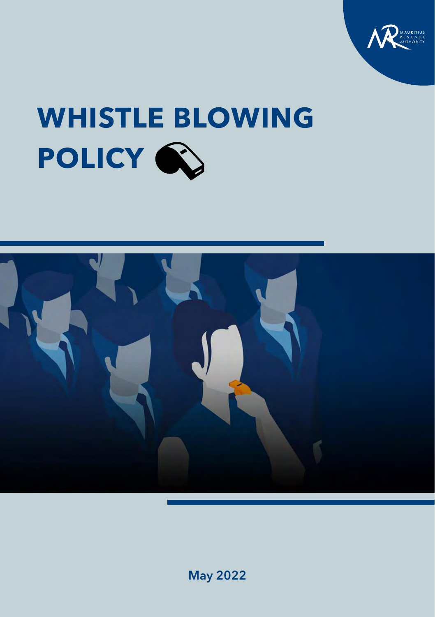

# **WHISTLE BLOWING POLICY**



May 2022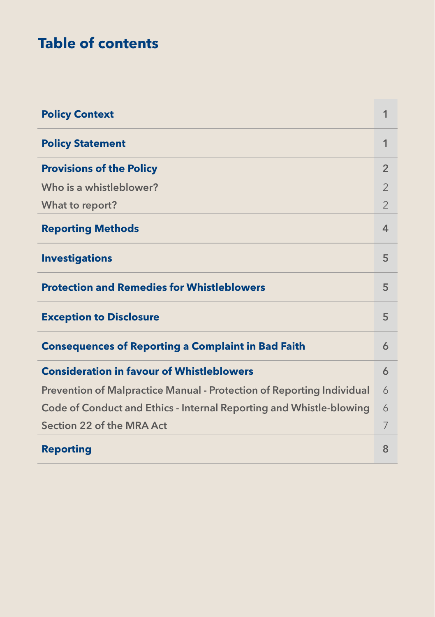## **Table of contents**

| <b>Policy Context</b>                                                 | 1              |  |  |
|-----------------------------------------------------------------------|----------------|--|--|
| <b>Policy Statement</b>                                               | 1              |  |  |
| <b>Provisions of the Policy</b>                                       | $\overline{2}$ |  |  |
| Who is a whistleblower?                                               | $\overline{2}$ |  |  |
| What to report?                                                       | $\mathcal{P}$  |  |  |
| <b>Reporting Methods</b>                                              | 4              |  |  |
| <b>Investigations</b>                                                 | 5              |  |  |
| <b>Protection and Remedies for Whistleblowers</b>                     | 5              |  |  |
| <b>Exception to Disclosure</b>                                        | 5              |  |  |
| <b>Consequences of Reporting a Complaint in Bad Faith</b>             | 6              |  |  |
| <b>Consideration in favour of Whistleblowers</b>                      | 6              |  |  |
| Prevention of Malpractice Manual - Protection of Reporting Individual | 6              |  |  |
| Code of Conduct and Ethics - Internal Reporting and Whistle-blowing   |                |  |  |
| Section 22 of the MRA Act                                             |                |  |  |
| <b>Reporting</b>                                                      | 8              |  |  |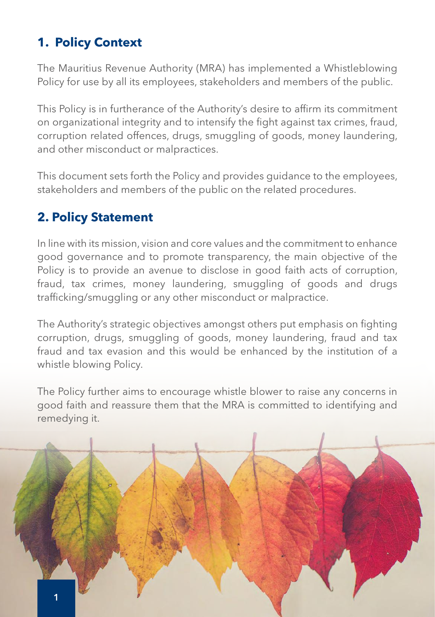## **1. Policy Context**

The Mauritius Revenue Authority (MRA) has implemented a Whistleblowing Policy for use by all its employees, stakeholders and members of the public.

This Policy is in furtherance of the Authority's desire to affirm its commitment on organizational integrity and to intensify the fight against tax crimes, fraud, corruption related offences, drugs, smuggling of goods, money laundering, and other misconduct or malpractices.

This document sets forth the Policy and provides guidance to the employees, stakeholders and members of the public on the related procedures.

## **2. Policy Statement**

In line with its mission, vision and core values and the commitment to enhance good governance and to promote transparency, the main objective of the Policy is to provide an avenue to disclose in good faith acts of corruption, fraud, tax crimes, money laundering, smuggling of goods and drugs trafficking/smuggling or any other misconduct or malpractice.

The Authority's strategic objectives amongst others put emphasis on fighting corruption, drugs, smuggling of goods, money laundering, fraud and tax fraud and tax evasion and this would be enhanced by the institution of a whistle blowing Policy.

The Policy further aims to encourage whistle blower to raise any concerns in good faith and reassure them that the MRA is committed to identifying and remedying it.

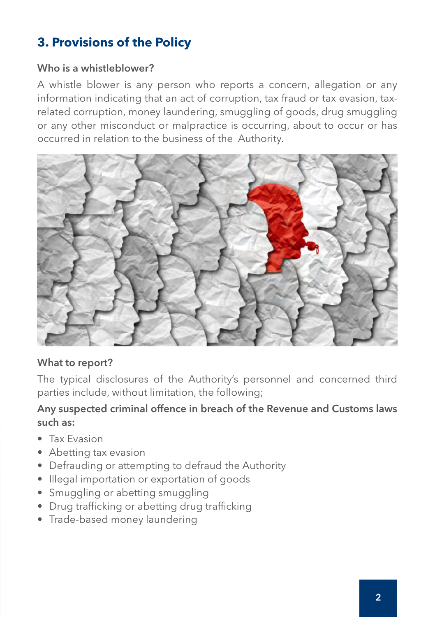## **3. Provisions of the Policy**

#### Who is a whistleblower?

A whistle blower is any person who reports a concern, allegation or any information indicating that an act of corruption, tax fraud or tax evasion, taxrelated corruption, money laundering, smuggling of goods, drug smuggling or any other misconduct or malpractice is occurring, about to occur or has occurred in relation to the business of the Authority.



#### What to report?

The typical disclosures of the Authority's personnel and concerned third parties include, without limitation, the following;

#### Any suspected criminal offence in breach of the Revenue and Customs laws such as:

- Tax Evasion
- Abetting tax evasion
- Defrauding or attempting to defraud the Authority
- Illegal importation or exportation of goods
- Smuggling or abetting smuggling
- Drug trafficking or abetting drug trafficking
- Trade-based money laundering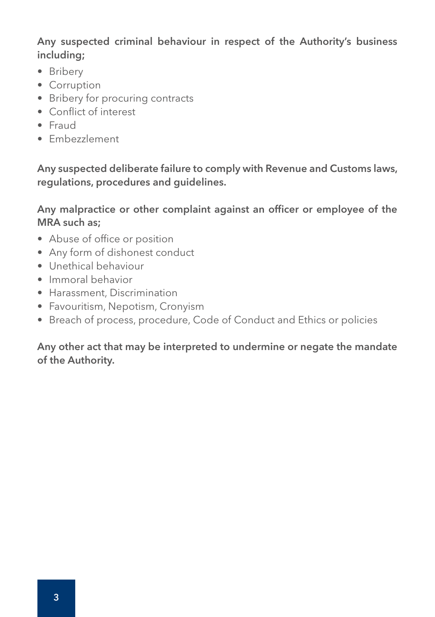Any suspected criminal behaviour in respect of the Authority's business including;

- Bribery
- Corruption
- Bribery for procuring contracts
- Conflict of interest
- Fraud
- Embezzlement

Any suspected deliberate failure to comply with Revenue and Customs laws, regulations, procedures and guidelines.

#### Any malpractice or other complaint against an officer or employee of the MRA such as;

- Abuse of office or position
- Any form of dishonest conduct
- Unethical behaviour
- Immoral behavior
- Harassment, Discrimination
- Favouritism, Nepotism, Cronyism
- Breach of process, procedure, Code of Conduct and Ethics or policies

#### Any other act that may be interpreted to undermine or negate the mandate of the Authority.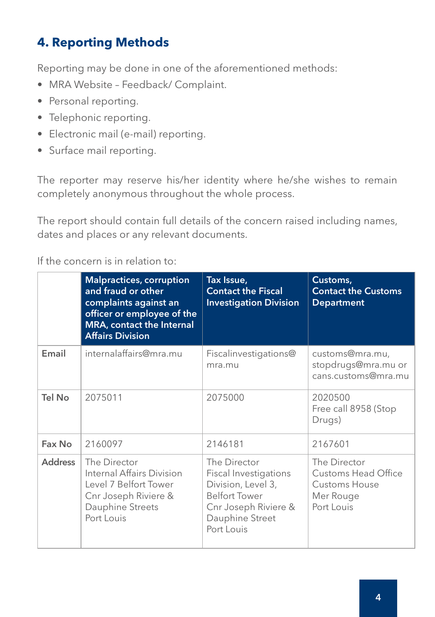## **4. Reporting Methods**

Reporting may be done in one of the aforementioned methods:

- MRA Website Feedback/ Complaint.
- Personal reporting.
- Telephonic reporting.
- Electronic mail (e-mail) reporting.
- Surface mail reporting.

The reporter may reserve his/her identity where he/she wishes to remain completely anonymous throughout the whole process.

The report should contain full details of the concern raised including names, dates and places or any relevant documents.

If the concern is in relation to:

|                | <b>Malpractices, corruption</b><br>and fraud or other<br>complaints against an<br>officer or employee of the<br>MRA, contact the Internal<br><b>Affairs Division</b> | Tax Issue,<br><b>Contact the Fiscal</b><br><b>Investigation Division</b>                                                                            | Customs,<br><b>Contact the Customs</b><br><b>Department</b>                            |
|----------------|----------------------------------------------------------------------------------------------------------------------------------------------------------------------|-----------------------------------------------------------------------------------------------------------------------------------------------------|----------------------------------------------------------------------------------------|
| Email          | internalaffairs@mra.mu                                                                                                                                               | Fiscalinvestigations@<br>mra.mu                                                                                                                     | customs@mra.mu,<br>stopdrugs@mra.mu or<br>cans.customs@mra.mu                          |
| Tel No         | 2075011                                                                                                                                                              | 2075000                                                                                                                                             | 2020500<br>Free call 8958 (Stop<br>Drugs)                                              |
| Fax No         | 2160097                                                                                                                                                              | 2146181                                                                                                                                             | 2167601                                                                                |
| <b>Address</b> | The Director<br>Internal Affairs Division<br>Level 7 Belfort Tower<br>Cnr Joseph Riviere &<br>Dauphine Streets<br>Port Louis                                         | The Director<br><b>Fiscal Investigations</b><br>Division, Level 3,<br><b>Belfort Tower</b><br>Cnr Joseph Riviere &<br>Dauphine Street<br>Port Louis | The Director<br>Customs Head Office<br><b>Customs House</b><br>Mer Rouge<br>Port Louis |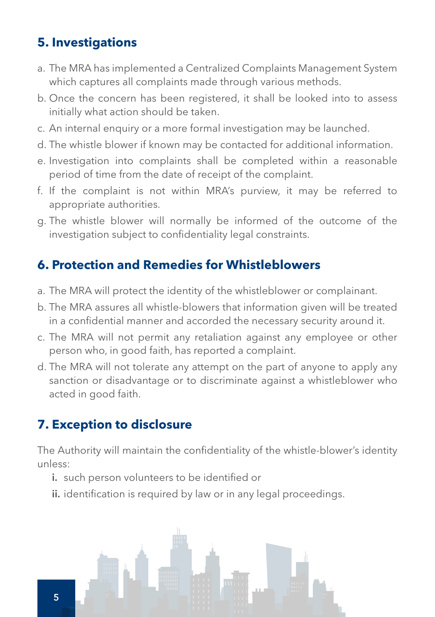## **5. Investigations**

- a. The MRA has implemented a Centralized Complaints Management System which captures all complaints made through various methods.
- b. Once the concern has been registered, it shall be looked into to assess initially what action should be taken.
- c. An internal enquiry or a more formal investigation may be launched.
- d. The whistle blower if known may be contacted for additional information.
- e. Investigation into complaints shall be completed within a reasonable period of time from the date of receipt of the complaint.
- f. If the complaint is not within MRA's purview, it may be referred to appropriate authorities.
- g. The whistle blower will normally be informed of the outcome of the investigation subject to confidentiality legal constraints.

## **6. Protection and Remedies for Whistleblowers**

- a. The MRA will protect the identity of the whistleblower or complainant.
- b. The MRA assures all whistle-blowers that information given will be treated in a confidential manner and accorded the necessary security around it.
- c. The MRA will not permit any retaliation against any employee or other person who, in good faith, has reported a complaint.
- d. The MRA will not tolerate any attempt on the part of anyone to apply any sanction or disadvantage or to discriminate against a whistleblower who acted in good faith.

## **7. Exception to disclosure**

The Authority will maintain the confidentiality of the whistle-blower's identity unless:

- i. such person volunteers to be identified or
- ii. identification is required by law or in any legal proceedings.

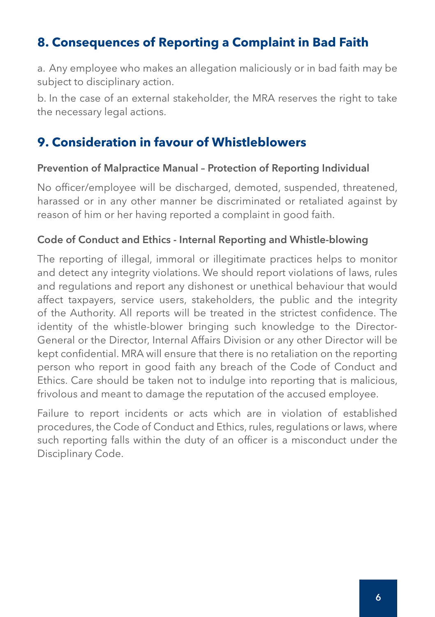## **8. Consequences of Reporting a Complaint in Bad Faith**

a. Any employee who makes an allegation maliciously or in bad faith may be subject to disciplinary action.

b. In the case of an external stakeholder, the MRA reserves the right to take the necessary legal actions.

#### **9. Consideration in favour of Whistleblowers**

#### Prevention of Malpractice Manual – Protection of Reporting Individual

No officer/employee will be discharged, demoted, suspended, threatened, harassed or in any other manner be discriminated or retaliated against by reason of him or her having reported a complaint in good faith.

#### Code of Conduct and Ethics - Internal Reporting and Whistle-blowing

The reporting of illegal, immoral or illegitimate practices helps to monitor and detect any integrity violations. We should report violations of laws, rules and regulations and report any dishonest or unethical behaviour that would affect taxpayers, service users, stakeholders, the public and the integrity of the Authority. All reports will be treated in the strictest confidence. The identity of the whistle-blower bringing such knowledge to the Director-General or the Director, Internal Affairs Division or any other Director will be kept confidential. MRA will ensure that there is no retaliation on the reporting person who report in good faith any breach of the Code of Conduct and Ethics. Care should be taken not to indulge into reporting that is malicious, frivolous and meant to damage the reputation of the accused employee.

Failure to report incidents or acts which are in violation of established procedures, the Code of Conduct and Ethics, rules, regulations or laws, where such reporting falls within the duty of an officer is a misconduct under the Disciplinary Code.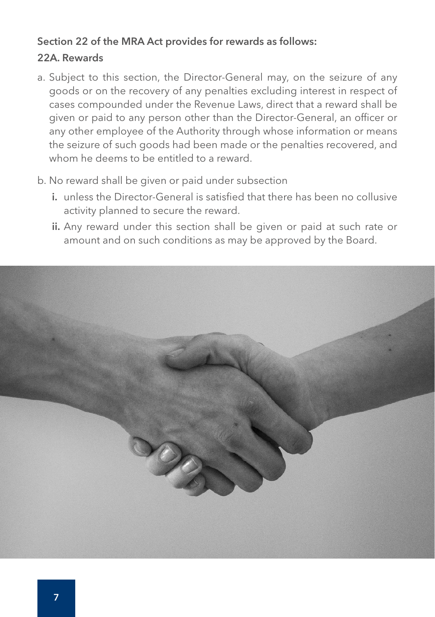#### Section 22 of the MRA Act provides for rewards as follows:

#### 22A. Rewards

- a. Subject to this section, the Director-General may, on the seizure of any goods or on the recovery of any penalties excluding interest in respect of cases compounded under the Revenue Laws, direct that a reward shall be given or paid to any person other than the Director-General, an officer or any other employee of the Authority through whose information or means the seizure of such goods had been made or the penalties recovered, and whom he deems to be entitled to a reward.
- b. No reward shall be given or paid under subsection
	- i. unless the Director-General is satisfied that there has been no collusive activity planned to secure the reward.
	- ii. Any reward under this section shall be given or paid at such rate or amount and on such conditions as may be approved by the Board.

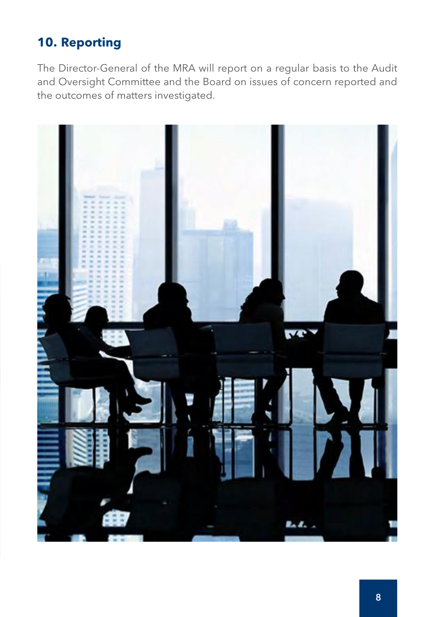## **10. Reporting**

The Director-General of the MRA will report on a regular basis to the Audit and Oversight Committee and the Board on issues of concern reported and the outcomes of matters investigated.